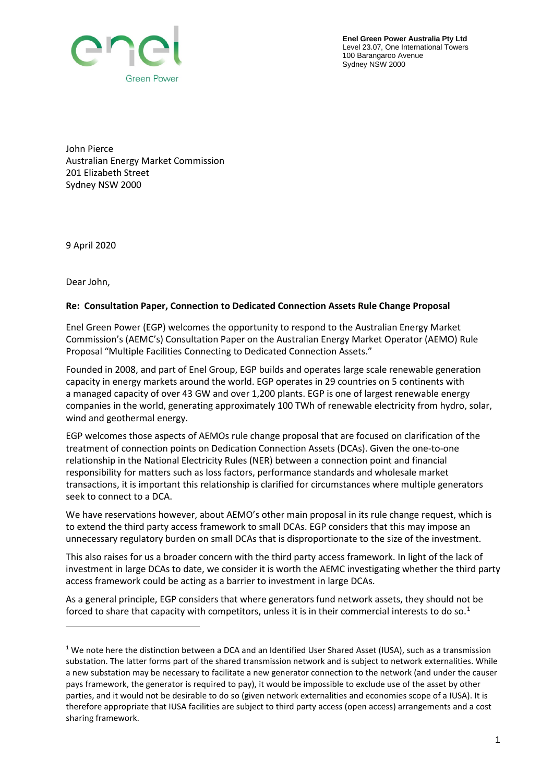

**Enel Green Power Australia Pty Ltd** Level 23.07, One International Towers 100 Barangaroo Avenue Sydney NSW 2000

John Pierce Australian Energy Market Commission 201 Elizabeth Street Sydney NSW 2000

9 April 2020

Dear John,

## **Re: Consultation Paper, Connection to Dedicated Connection Assets Rule Change Proposal**

Enel Green Power (EGP) welcomes the opportunity to respond to the Australian Energy Market Commission's (AEMC's) Consultation Paper on the Australian Energy Market Operator (AEMO) Rule Proposal "Multiple Facilities Connecting to Dedicated Connection Assets."

Founded in 2008, and part of Enel Group, EGP builds and operates large scale renewable generation capacity in energy markets around the world. EGP operates in 29 countries on 5 continents with a managed capacity of over 43 GW and over 1,200 plants. EGP is one of largest renewable energy companies in the world, generating approximately 100 TWh of renewable electricity from hydro, solar, wind and geothermal energy.

EGP welcomes those aspects of AEMOs rule change proposal that are focused on clarification of the treatment of connection points on Dedication Connection Assets (DCAs). Given the one-to-one relationship in the National Electricity Rules (NER) between a connection point and financial responsibility for matters such as loss factors, performance standards and wholesale market transactions, it is important this relationship is clarified for circumstances where multiple generators seek to connect to a DCA.

We have reservations however, about AEMO's other main proposal in its rule change request, which is to extend the third party access framework to small DCAs. EGP considers that this may impose an unnecessary regulatory burden on small DCAs that is disproportionate to the size of the investment.

This also raises for us a broader concern with the third party access framework. In light of the lack of investment in large DCAs to date, we consider it is worth the AEMC investigating whether the third party access framework could be acting as a barrier to investment in large DCAs.

As a general principle, EGP considers that where generators fund network assets, they should not be forced to share that capacity with competitors, unless it is in their commercial interests to do so.<sup>[1](#page-0-0)</sup>

<span id="page-0-0"></span><sup>&</sup>lt;sup>1</sup> We note here the distinction between a DCA and an Identified User Shared Asset (IUSA), such as a transmission substation. The latter forms part of the shared transmission network and is subject to network externalities. While a new substation may be necessary to facilitate a new generator connection to the network (and under the causer pays framework, the generator is required to pay), it would be impossible to exclude use of the asset by other parties, and it would not be desirable to do so (given network externalities and economies scope of a IUSA). It is therefore appropriate that IUSA facilities are subject to third party access (open access) arrangements and a cost sharing framework.